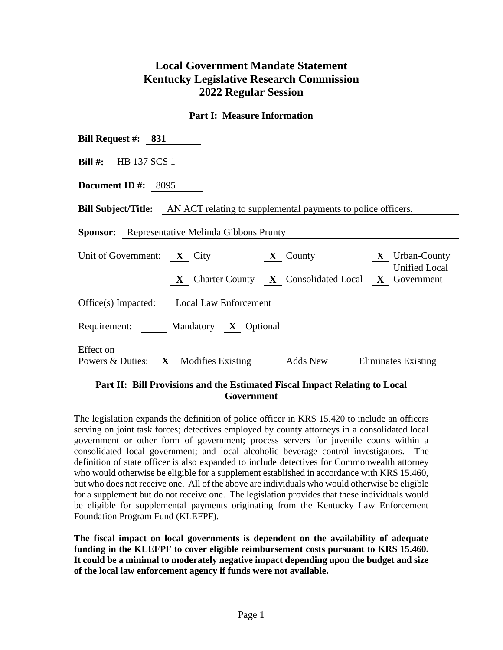## **Local Government Mandate Statement Kentucky Legislative Research Commission 2022 Regular Session**

## **Part I: Measure Information**

| Bill Request #: $831$                                                                                    |
|----------------------------------------------------------------------------------------------------------|
| Bill $\#$ : HB 137 SCS 1                                                                                 |
| Document ID $\#$ : 8095                                                                                  |
| <b>Bill Subject/Title:</b> AN ACT relating to supplemental payments to police officers.                  |
| <b>Sponsor:</b> Representative Melinda Gibbons Prunty                                                    |
| Unit of Government: $X$ City<br>$\mathbf{X}$ Urban-County<br>$\mathbf{X}$ County<br><b>Unified Local</b> |
| <b>X</b> Charter County <b>X</b> Consolidated Local <b>X</b> Government                                  |
| Office(s) Impacted: Local Law Enforcement                                                                |
| Requirement: Mandatory X Optional                                                                        |
| Effect on<br>Powers & Duties: X Modifies Existing Adds New Eliminates Existing                           |

## **Part II: Bill Provisions and the Estimated Fiscal Impact Relating to Local Government**

The legislation expands the definition of police officer in KRS 15.420 to include an officers serving on joint task forces; detectives employed by county attorneys in a consolidated local government or other form of government; process servers for juvenile courts within a consolidated local government; and local alcoholic beverage control investigators. The definition of state officer is also expanded to include detectives for Commonwealth attorney who would otherwise be eligible for a supplement established in accordance with KRS 15.460, but who does not receive one. All of the above are individuals who would otherwise be eligible for a supplement but do not receive one. The legislation provides that these individuals would be eligible for supplemental payments originating from the Kentucky Law Enforcement Foundation Program Fund (KLEFPF).

**The fiscal impact on local governments is dependent on the availability of adequate funding in the KLEFPF to cover eligible reimbursement costs pursuant to KRS 15.460. It could be a minimal to moderately negative impact depending upon the budget and size of the local law enforcement agency if funds were not available.**